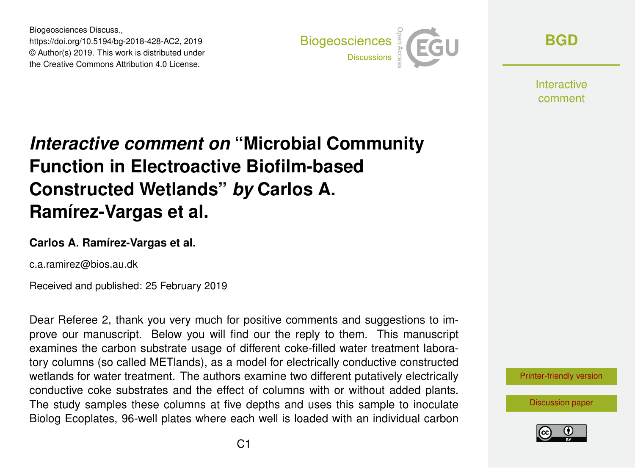Biogeosciences Discuss., https://doi.org/10.5194/bg-2018-428-AC2, 2019 © Author(s) 2019. This work is distributed under the Creative Commons Attribution 4.0 License.



**[BGD](https://www.biogeosciences-discuss.net/)**

**Interactive** comment

# *Interactive comment on* **"Microbial Community Function in Electroactive Biofilm-based Constructed Wetlands"** *by* **Carlos A. Ramírez-Vargas et al.**

#### **Carlos A. Ramírez-Vargas et al.**

c.a.ramirez@bios.au.dk

Received and published: 25 February 2019

Dear Referee 2, thank you very much for positive comments and suggestions to improve our manuscript. Below you will find our the reply to them. This manuscript examines the carbon substrate usage of different coke-filled water treatment laboratory columns (so called METlands), as a model for electrically conductive constructed wetlands for water treatment. The authors examine two different putatively electrically conductive coke substrates and the effect of columns with or without added plants. The study samples these columns at five depths and uses this sample to inoculate Biolog Ecoplates, 96-well plates where each well is loaded with an individual carbon

[Printer-friendly version](https://www.biogeosciences-discuss.net/bg-2018-428/bg-2018-428-AC2-print.pdf)

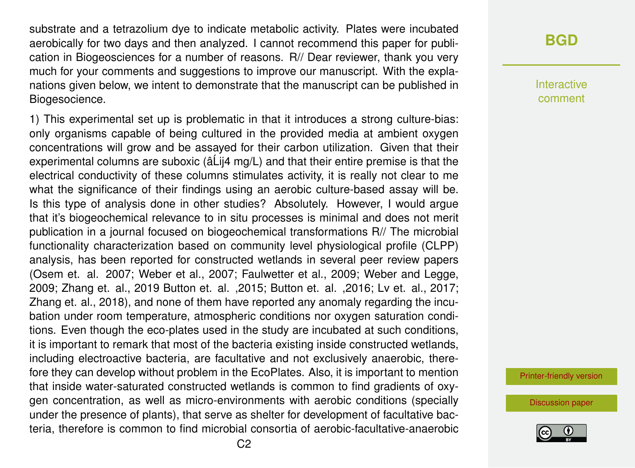substrate and a tetrazolium dye to indicate metabolic activity. Plates were incubated aerobically for two days and then analyzed. I cannot recommend this paper for publication in Biogeosciences for a number of reasons. R// Dear reviewer, thank you very much for your comments and suggestions to improve our manuscript. With the explanations given below, we intent to demonstrate that the manuscript can be published in Biogesocience.

1) This experimental set up is problematic in that it introduces a strong culture-bias: only organisms capable of being cultured in the provided media at ambient oxygen concentrations will grow and be assayed for their carbon utilization. Given that their experimental columns are suboxic ( $\hat{a}$ Lij4 mg/L) and that their entire premise is that the electrical conductivity of these columns stimulates activity, it is really not clear to me what the significance of their findings using an aerobic culture-based assay will be. Is this type of analysis done in other studies? Absolutely. However, I would argue that it's biogeochemical relevance to in situ processes is minimal and does not merit publication in a journal focused on biogeochemical transformations R// The microbial functionality characterization based on community level physiological profile (CLPP) analysis, has been reported for constructed wetlands in several peer review papers (Osem et. al. 2007; Weber et al., 2007; Faulwetter et al., 2009; Weber and Legge, 2009; Zhang et. al., 2019 Button et. al. ,2015; Button et. al. ,2016; Lv et. al., 2017; Zhang et. al., 2018), and none of them have reported any anomaly regarding the incubation under room temperature, atmospheric conditions nor oxygen saturation conditions. Even though the eco-plates used in the study are incubated at such conditions, it is important to remark that most of the bacteria existing inside constructed wetlands, including electroactive bacteria, are facultative and not exclusively anaerobic, therefore they can develop without problem in the EcoPlates. Also, it is important to mention that inside water-saturated constructed wetlands is common to find gradients of oxygen concentration, as well as micro-environments with aerobic conditions (specially under the presence of plants), that serve as shelter for development of facultative bacteria, therefore is common to find microbial consortia of aerobic-facultative-anaerobic

#### **[BGD](https://www.biogeosciences-discuss.net/)**

Interactive comment

[Printer-friendly version](https://www.biogeosciences-discuss.net/bg-2018-428/bg-2018-428-AC2-print.pdf)

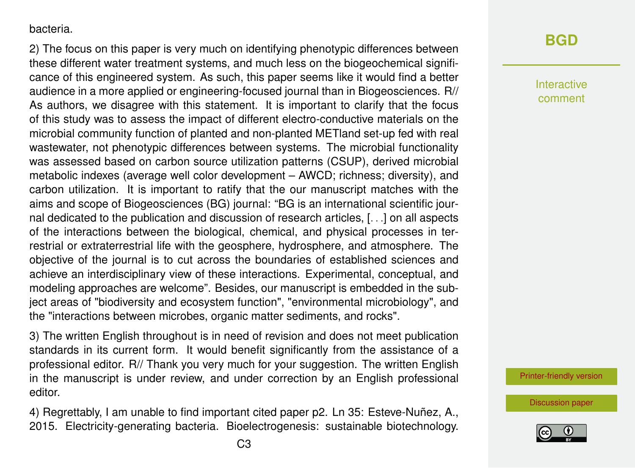#### bacteria.

2) The focus on this paper is very much on identifying phenotypic differences between these different water treatment systems, and much less on the biogeochemical significance of this engineered system. As such, this paper seems like it would find a better audience in a more applied or engineering-focused journal than in Biogeosciences. R// As authors, we disagree with this statement. It is important to clarify that the focus of this study was to assess the impact of different electro-conductive materials on the microbial community function of planted and non-planted METland set-up fed with real wastewater, not phenotypic differences between systems. The microbial functionality was assessed based on carbon source utilization patterns (CSUP), derived microbial metabolic indexes (average well color development – AWCD; richness; diversity), and carbon utilization. It is important to ratify that the our manuscript matches with the aims and scope of Biogeosciences (BG) journal: "BG is an international scientific journal dedicated to the publication and discussion of research articles, [. . .] on all aspects of the interactions between the biological, chemical, and physical processes in terrestrial or extraterrestrial life with the geosphere, hydrosphere, and atmosphere. The objective of the journal is to cut across the boundaries of established sciences and achieve an interdisciplinary view of these interactions. Experimental, conceptual, and modeling approaches are welcome". Besides, our manuscript is embedded in the subject areas of "biodiversity and ecosystem function", "environmental microbiology", and the "interactions between microbes, organic matter sediments, and rocks".

3) The written English throughout is in need of revision and does not meet publication standards in its current form. It would benefit significantly from the assistance of a professional editor. R// Thank you very much for your suggestion. The written English in the manuscript is under review, and under correction by an English professional editor.

4) Regrettably, I am unable to find important cited paper p2. Ln 35: Esteve-Nuñez, A., 2015. Electricity-generating bacteria. Bioelectrogenesis: sustainable biotechnology.

## **[BGD](https://www.biogeosciences-discuss.net/)**

Interactive comment

[Printer-friendly version](https://www.biogeosciences-discuss.net/bg-2018-428/bg-2018-428-AC2-print.pdf)

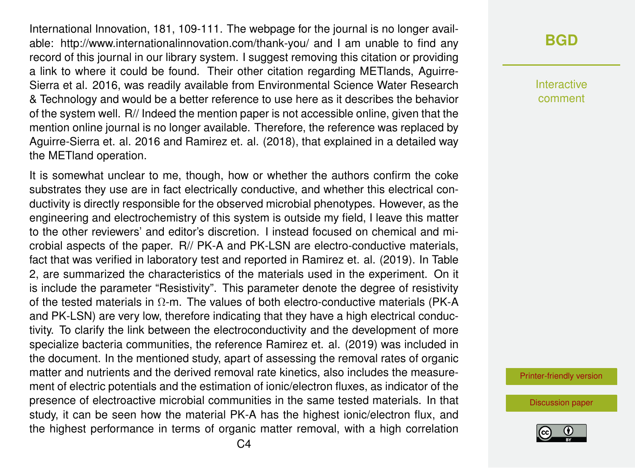International Innovation, 181, 109-111. The webpage for the journal is no longer available: http://www.internationalinnovation.com/thank-you/ and I am unable to find any record of this journal in our library system. I suggest removing this citation or providing a link to where it could be found. Their other citation regarding METlands, Aguirre-Sierra et al. 2016, was readily available from Environmental Science Water Research & Technology and would be a better reference to use here as it describes the behavior of the system well. R// Indeed the mention paper is not accessible online, given that the mention online journal is no longer available. Therefore, the reference was replaced by Aguirre-Sierra et. al. 2016 and Ramirez et. al. (2018), that explained in a detailed way the METland operation.

It is somewhat unclear to me, though, how or whether the authors confirm the coke substrates they use are in fact electrically conductive, and whether this electrical conductivity is directly responsible for the observed microbial phenotypes. However, as the engineering and electrochemistry of this system is outside my field, I leave this matter to the other reviewers' and editor's discretion. I instead focused on chemical and microbial aspects of the paper. R// PK-A and PK-LSN are electro-conductive materials, fact that was verified in laboratory test and reported in Ramirez et. al. (2019). In Table 2, are summarized the characteristics of the materials used in the experiment. On it is include the parameter "Resistivity". This parameter denote the degree of resistivity of the tested materials in Ω-m. The values of both electro-conductive materials (PK-A and PK-LSN) are very low, therefore indicating that they have a high electrical conductivity. To clarify the link between the electroconductivity and the development of more specialize bacteria communities, the reference Ramirez et. al. (2019) was included in the document. In the mentioned study, apart of assessing the removal rates of organic matter and nutrients and the derived removal rate kinetics, also includes the measurement of electric potentials and the estimation of ionic/electron fluxes, as indicator of the presence of electroactive microbial communities in the same tested materials. In that study, it can be seen how the material PK-A has the highest ionic/electron flux, and the highest performance in terms of organic matter removal, with a high correlation

### **[BGD](https://www.biogeosciences-discuss.net/)**

Interactive comment

[Printer-friendly version](https://www.biogeosciences-discuss.net/bg-2018-428/bg-2018-428-AC2-print.pdf)

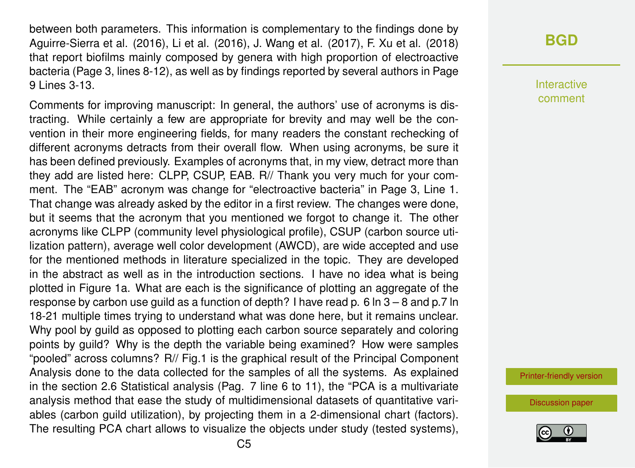between both parameters. This information is complementary to the findings done by Aguirre-Sierra et al. (2016), Li et al. (2016), J. Wang et al. (2017), F. Xu et al. (2018) that report biofilms mainly composed by genera with high proportion of electroactive bacteria (Page 3, lines 8-12), as well as by findings reported by several authors in Page 9 Lines 3-13.

Comments for improving manuscript: In general, the authors' use of acronyms is distracting. While certainly a few are appropriate for brevity and may well be the convention in their more engineering fields, for many readers the constant rechecking of different acronyms detracts from their overall flow. When using acronyms, be sure it has been defined previously. Examples of acronyms that, in my view, detract more than they add are listed here: CLPP, CSUP, EAB. R// Thank you very much for your comment. The "EAB" acronym was change for "electroactive bacteria" in Page 3, Line 1. That change was already asked by the editor in a first review. The changes were done, but it seems that the acronym that you mentioned we forgot to change it. The other acronyms like CLPP (community level physiological profile), CSUP (carbon source utilization pattern), average well color development (AWCD), are wide accepted and use for the mentioned methods in literature specialized in the topic. They are developed in the abstract as well as in the introduction sections. I have no idea what is being plotted in Figure 1a. What are each is the significance of plotting an aggregate of the response by carbon use guild as a function of depth? I have read p. 6 ln 3 – 8 and p.7 ln 18-21 multiple times trying to understand what was done here, but it remains unclear. Why pool by guild as opposed to plotting each carbon source separately and coloring points by guild? Why is the depth the variable being examined? How were samples "pooled" across columns? R// Fig.1 is the graphical result of the Principal Component Analysis done to the data collected for the samples of all the systems. As explained in the section 2.6 Statistical analysis (Pag. 7 line 6 to 11), the "PCA is a multivariate analysis method that ease the study of multidimensional datasets of quantitative variables (carbon guild utilization), by projecting them in a 2-dimensional chart (factors). The resulting PCA chart allows to visualize the objects under study (tested systems),

#### **[BGD](https://www.biogeosciences-discuss.net/)**

Interactive comment

[Printer-friendly version](https://www.biogeosciences-discuss.net/bg-2018-428/bg-2018-428-AC2-print.pdf)

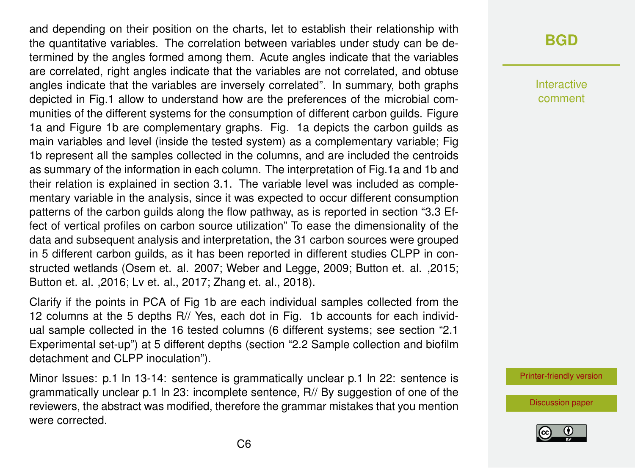and depending on their position on the charts, let to establish their relationship with the quantitative variables. The correlation between variables under study can be determined by the angles formed among them. Acute angles indicate that the variables are correlated, right angles indicate that the variables are not correlated, and obtuse angles indicate that the variables are inversely correlated". In summary, both graphs depicted in Fig.1 allow to understand how are the preferences of the microbial communities of the different systems for the consumption of different carbon guilds. Figure 1a and Figure 1b are complementary graphs. Fig. 1a depicts the carbon guilds as main variables and level (inside the tested system) as a complementary variable; Fig 1b represent all the samples collected in the columns, and are included the centroids as summary of the information in each column. The interpretation of Fig.1a and 1b and their relation is explained in section 3.1. The variable level was included as complementary variable in the analysis, since it was expected to occur different consumption patterns of the carbon guilds along the flow pathway, as is reported in section "3.3 Effect of vertical profiles on carbon source utilization" To ease the dimensionality of the data and subsequent analysis and interpretation, the 31 carbon sources were grouped in 5 different carbon guilds, as it has been reported in different studies CLPP in constructed wetlands (Osem et. al. 2007; Weber and Legge, 2009; Button et. al. ,2015; Button et. al. ,2016; Lv et. al., 2017; Zhang et. al., 2018).

Clarify if the points in PCA of Fig 1b are each individual samples collected from the 12 columns at the 5 depths R// Yes, each dot in Fig. 1b accounts for each individual sample collected in the 16 tested columns (6 different systems; see section "2.1 Experimental set-up") at 5 different depths (section "2.2 Sample collection and biofilm detachment and CLPP inoculation").

Minor Issues: p.1 ln 13-14: sentence is grammatically unclear p.1 ln 22: sentence is grammatically unclear p.1 ln 23: incomplete sentence, R// By suggestion of one of the reviewers, the abstract was modified, therefore the grammar mistakes that you mention were corrected.

## **[BGD](https://www.biogeosciences-discuss.net/)**

Interactive comment

[Printer-friendly version](https://www.biogeosciences-discuss.net/bg-2018-428/bg-2018-428-AC2-print.pdf)

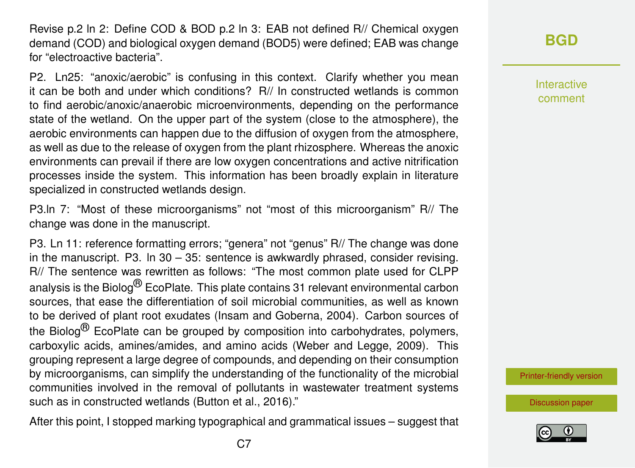Revise p.2 In 2: Define COD & BOD p.2 In 3: EAB not defined R// Chemical oxygen demand (COD) and biological oxygen demand (BOD5) were defined; EAB was change for "electroactive bacteria".

P2. Ln25: "anoxic/aerobic" is confusing in this context. Clarify whether you mean it can be both and under which conditions? R// In constructed wetlands is common to find aerobic/anoxic/anaerobic microenvironments, depending on the performance state of the wetland. On the upper part of the system (close to the atmosphere), the aerobic environments can happen due to the diffusion of oxygen from the atmosphere, as well as due to the release of oxygen from the plant rhizosphere. Whereas the anoxic environments can prevail if there are low oxygen concentrations and active nitrification processes inside the system. This information has been broadly explain in literature specialized in constructed wetlands design.

P3.ln 7: "Most of these microorganisms" not "most of this microorganism" R// The change was done in the manuscript.

P3. Ln 11: reference formatting errors; "genera" not "genus" R// The change was done in the manuscript. P3. ln 30 – 35: sentence is awkwardly phrased, consider revising. R// The sentence was rewritten as follows: "The most common plate used for CLPP analysis is the Biolog<sup>®</sup> EcoPlate. This plate contains 31 relevant environmental carbon sources, that ease the differentiation of soil microbial communities, as well as known to be derived of plant root exudates (Insam and Goberna, 2004). Carbon sources of the Biolog<sup>®</sup> EcoPlate can be grouped by composition into carbohydrates, polymers, carboxylic acids, amines/amides, and amino acids (Weber and Legge, 2009). This grouping represent a large degree of compounds, and depending on their consumption by microorganisms, can simplify the understanding of the functionality of the microbial communities involved in the removal of pollutants in wastewater treatment systems such as in constructed wetlands (Button et al., 2016)."

After this point, I stopped marking typographical and grammatical issues – suggest that

Interactive comment

[Printer-friendly version](https://www.biogeosciences-discuss.net/bg-2018-428/bg-2018-428-AC2-print.pdf)